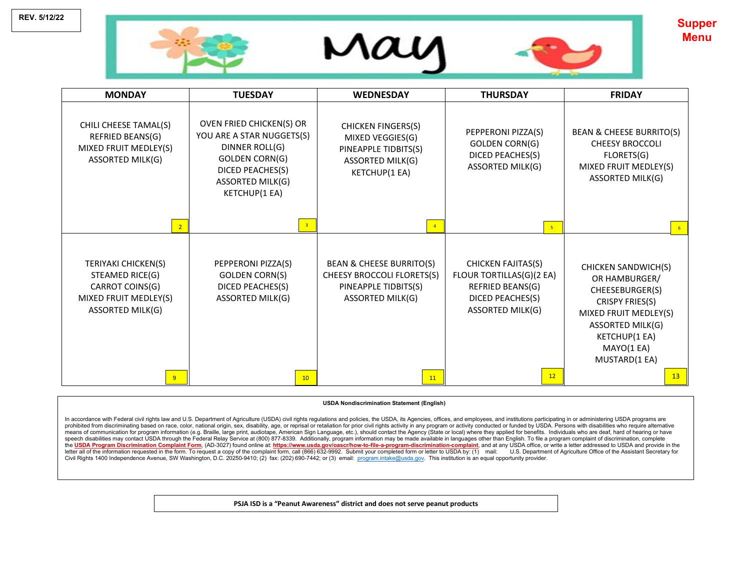**Supper Menu**





| <b>MONDAY</b>                                                                                          | <b>TUESDAY</b>                                                                                                                                     | <b>WEDNESDAY</b>                                                                                              | <b>THURSDAY</b>                                                                                                   | <b>FRIDAY</b>                                                                                                                                                                  |
|--------------------------------------------------------------------------------------------------------|----------------------------------------------------------------------------------------------------------------------------------------------------|---------------------------------------------------------------------------------------------------------------|-------------------------------------------------------------------------------------------------------------------|--------------------------------------------------------------------------------------------------------------------------------------------------------------------------------|
| CHILI CHEESE TAMAL(S)<br>REFRIED BEANS(G)<br>MIXED FRUIT MEDLEY(S)<br><b>ASSORTED MILK(G)</b>          | OVEN FRIED CHICKEN(S) OR<br>YOU ARE A STAR NUGGETS(S)<br>DINNER ROLL(G)<br>GOLDEN CORN(G)<br>DICED PEACHES(S)<br>ASSORTED MILK(G)<br>KETCHUP(1 EA) | <b>CHICKEN FINGERS(S)</b><br>MIXED VEGGIES(G)<br>PINEAPPLE TIDBITS(S)<br>ASSORTED MILK(G)<br>KETCHUP(1 EA)    | PEPPERONI PIZZA(S)<br>GOLDEN CORN(G)<br>DICED PEACHES(S)<br>ASSORTED MILK(G)                                      | BEAN & CHEESE BURRITO(S)<br><b>CHEESY BROCCOLL</b><br>FLORETS(G)<br>MIXED FRUIT MEDLEY(S)<br><b>ASSORTED MILK(G)</b>                                                           |
| $\overline{2}$                                                                                         | 3 <sup>°</sup>                                                                                                                                     | $\overline{4}$                                                                                                | $-5$                                                                                                              | $6-1$                                                                                                                                                                          |
| TERIYAKI CHICKEN(S)<br>STEAMED RICE(G)<br>CARROT COINS(G)<br>MIXED FRUIT MEDLEY(S)<br>ASSORTED MILK(G) | PEPPERONI PIZZA(S)<br><b>GOLDEN CORN(S)</b><br>DICED PEACHES(S)<br>ASSORTED MILK(G)                                                                | <b>BEAN &amp; CHEESE BURRITO(S)</b><br>CHEESY BROCCOLI FLORETS(S)<br>PINEAPPLE TIDBITS(S)<br>ASSORTED MILK(G) | <b>CHICKEN FAJITAS(S)</b><br>FLOUR TORTILLAS(G)(2 EA)<br>REFRIED BEANS(G)<br>DICED PEACHES(S)<br>ASSORTED MILK(G) | CHICKEN SANDWICH(S)<br>OR HAMBURGER/<br>CHEESEBURGER(S)<br><b>CRISPY FRIES(S)</b><br>MIXED FRUIT MEDLEY(S)<br>ASSORTED MILK(G)<br>KETCHUP(1 EA)<br>MAYO(1 EA)<br>MUSTARD(1 EA) |
| 9                                                                                                      | 10                                                                                                                                                 | 11                                                                                                            | 12                                                                                                                | 13                                                                                                                                                                             |

## **USDA Nondiscrimination Statement (English)**

In accordance with Federal civil rights law and U.S. Department of Agriculture (USDA) civil rights regulations and policies, the USDA, its Agencies, offices, and employees, and institutions participating in or administerin prohibited from discriminating based on race, color, national origin, sex, disability, age, or reprisal or retaliation for prior civil rights activity in any program or activity conducted or funded by USDA. Persons with di means of communication for program information (e.g. Braille, large print, audiotape, American Sign Language, etc.), should contact the Agency (State or local) where they applied for benefits. Individuals who are deaf, har speech disabilities may contact USDA through the Federal Relay Service at (800) 877-8339. Additionally, program information may be made available in languages other than English. To file a program complaint of discriminati the [USDA Program Discrimination Complaint Form](https://www.usda.gov/sites/default/files/documents/USDA-OASCR%20P-Complaint-Form-0508-0002-508-11-28-17Fax2Mail.pdf). (AD-3027) found online at: <https://www.usda.gov/oascr/how-to-file-a-program-discrimination-complaint>, and at any USDA office, or write a letter addressed to USDA and provide letter all of the information requested in the form. To request a copy of the complaint form, call (866) 632-9992. Submit your completed form or letter to USDA by: (1) mail: U.S. Department of Agriculture Office of the Ass Civil Rights 1400 Independence Avenue, SW Washington, D.C. 20250-9410; (2) fax: (202) 690-7442; or (3) email: [program.intake@usda.gov.](mailto:program.intake@usda.gov) This institution is an equal opportunity provider.

**PSJA ISD is a "Peanut Awareness" district and does not serve peanut products**